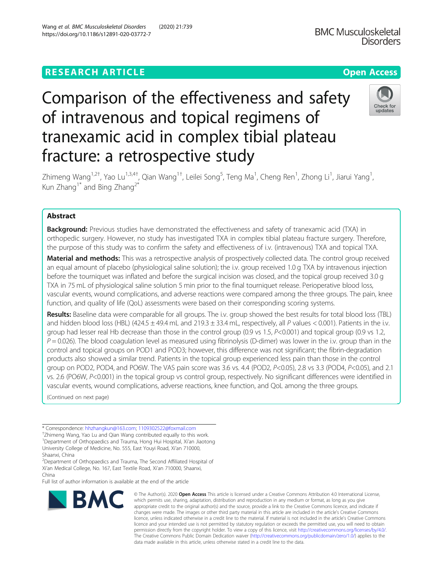## **RESEARCH ARTICLE Example 2014 12:30 The Contract of Contract ACCESS**

# Comparison of the effectiveness and safety of intravenous and topical regimens of tranexamic acid in complex tibial plateau fracture: a retrospective study

Zhimeng Wang<sup>1,2†</sup>, Yao Lu<sup>1,3,4†</sup>, Qian Wang<sup>1†</sup>, Leilei Song<sup>5</sup>, Teng Ma<sup>1</sup>, Cheng Ren<sup>1</sup>, Zhong Li<sup>1</sup>, Jiarui Yang<sup>1</sup> , Kun Zhang<sup>1\*</sup> and Bing Zhang<sup>2\*</sup>

### Abstract

**Background:** Previous studies have demonstrated the effectiveness and safety of tranexamic acid (TXA) in orthopedic surgery. However, no study has investigated TXA in complex tibial plateau fracture surgery. Therefore, the purpose of this study was to confirm the safety and effectiveness of i.v. (intravenous) TXA and topical TXA.

Material and methods: This was a retrospective analysis of prospectively collected data. The control group received an equal amount of placebo (physiological saline solution); the i.v. group received 1.0 g TXA by intravenous injection before the tourniquet was inflated and before the surgical incision was closed, and the topical group received 3.0 g TXA in 75 mL of physiological saline solution 5 min prior to the final tourniquet release. Perioperative blood loss, vascular events, wound complications, and adverse reactions were compared among the three groups. The pain, knee function, and quality of life (QoL) assessments were based on their corresponding scoring systems.

Results: Baseline data were comparable for all groups. The i.v. group showed the best results for total blood loss (TBL) and hidden blood loss (HBL) (424.5  $\pm$  49.4 mL and 219.3  $\pm$  33.4 mL, respectively, all P values < 0.001). Patients in the i.v. group had lesser real Hb decrease than those in the control group (0.9 vs 1.5, P<0.001) and topical group (0.9 vs 1.2,  $P = 0.026$ ). The blood coagulation level as measured using fibrinolysis (D-dimer) was lower in the i.v. group than in the control and topical groups on POD1 and POD3; however, this difference was not significant; the fibrin-degradation products also showed a similar trend. Patients in the topical group experienced less pain than those in the control group on POD2, POD4, and PO6W. The VAS pain score was 3.6 vs. 4.4 (POD2, P<0.05), 2.8 vs 3.3 (POD4, P<0.05), and 2.1 vs. 2.6 (PO6W, P<0.001) in the topical group vs control group, respectively. No significant differences were identified in vascular events, wound complications, adverse reactions, knee function, and QoL among the three groups.

(Continued on next page)

\* Correspondence: [hhzhangkun@163.com;](mailto:hhzhangkun@163.com) [1109302522@foxmail.com](mailto:1109302522@foxmail.com) †

<sup>+</sup>Zhimeng Wang, Yao Lu and Qian Wang contributed equally to this work.

<sup>1</sup>Department of Orthopaedics and Trauma, Hong Hui Hospital, Xi'an Jiaotong University College of Medicine, No. 555, East Youyi Road, Xi'an 710000,

Shaanxi, China <sup>2</sup>Department of Orthopaedics and Trauma, The Second Affiliated Hospital of

Xi'an Medical College, No. 167, East Textile Road, Xi'an 710000, Shaanxi, China

Full list of author information is available at the end of the article

which permits use, sharing, adaptation, distribution and reproduction in any medium or format, as long as you give appropriate credit to the original author(s) and the source, provide a link to the Creative Commons licence, and indicate if changes were made. The images or other third party material in this article are included in the article's Creative Commons licence, unless indicated otherwise in a credit line to the material. If material is not included in the article's Creative Commons licence and your intended use is not permitted by statutory regulation or exceeds the permitted use, you will need to obtain permission directly from the copyright holder. To view a copy of this licence, visit [http://creativecommons.org/licenses/by/4.0/.](http://creativecommons.org/licenses/by/4.0/) The Creative Commons Public Domain Dedication waiver [\(http://creativecommons.org/publicdomain/zero/1.0/](http://creativecommons.org/publicdomain/zero/1.0/)) applies to the data made available in this article, unless otherwise stated in a credit line to the data.

© The Author(s), 2020 **Open Access** This article is licensed under a Creative Commons Attribution 4.0 International License,



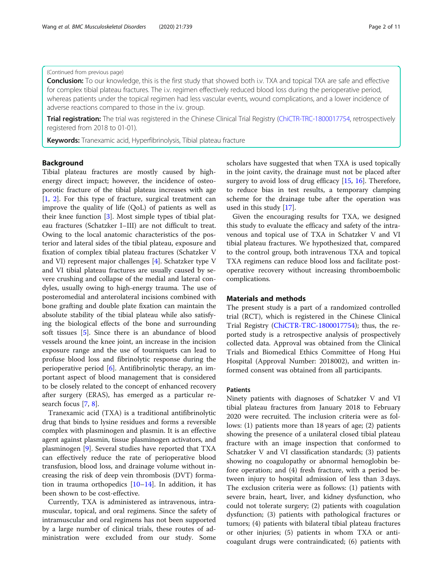#### (Continued from previous page)

**Conclusion:** To our knowledge, this is the first study that showed both i.v. TXA and topical TXA are safe and effective for complex tibial plateau fractures. The i.v. regimen effectively reduced blood loss during the perioperative period, whereas patients under the topical regimen had less vascular events, wound complications, and a lower incidence of adverse reactions compared to those in the i.v. group.

Trial registration: The trial was registered in the Chinese Clinical Trial Registry [\(ChiCTR-TRC-1800017754](http://www.chictr.org.cn/showproj.aspx?proj=17127), retrospectively registered from 2018 to 01-01).

Keywords: Tranexamic acid, Hyperfibrinolysis, Tibial plateau fracture

#### Background

Tibial plateau fractures are mostly caused by highenergy direct impact; however, the incidence of osteoporotic fracture of the tibial plateau increases with age [[1,](#page-9-0) [2](#page-9-0)]. For this type of fracture, surgical treatment can improve the quality of life (QoL) of patients as well as their knee function  $[3]$  $[3]$ . Most simple types of tibial plateau fractures (Schatzker I–III) are not difficult to treat. Owing to the local anatomic characteristics of the posterior and lateral sides of the tibial plateau, exposure and fixation of complex tibial plateau fractures (Schatzker V and VI) represent major challenges [\[4](#page-9-0)]. Schatzker type V and VI tibial plateau fractures are usually caused by severe crushing and collapse of the medial and lateral condyles, usually owing to high-energy trauma. The use of posteromedial and anterolateral incisions combined with bone grafting and double plate fixation can maintain the absolute stability of the tibial plateau while also satisfying the biological effects of the bone and surrounding soft tissues [[5](#page-9-0)]. Since there is an abundance of blood vessels around the knee joint, an increase in the incision exposure range and the use of tourniquets can lead to profuse blood loss and fibrinolytic response during the perioperative period [[6](#page-9-0)]. Antifibrinolytic therapy, an important aspect of blood management that is considered to be closely related to the concept of enhanced recovery after surgery (ERAS), has emerged as a particular research focus [\[7](#page-9-0), [8](#page-9-0)].

Tranexamic acid (TXA) is a traditional antifibrinolytic drug that binds to lysine residues and forms a reversible complex with plasminogen and plasmin. It is an effective agent against plasmin, tissue plasminogen activators, and plasminogen [[9\]](#page-9-0). Several studies have reported that TXA can effectively reduce the rate of perioperative blood transfusion, blood loss, and drainage volume without increasing the risk of deep vein thrombosis (DVT) formation in trauma orthopedics [[10](#page-9-0)–[14](#page-9-0)]. In addition, it has been shown to be cost-effective.

Currently, TXA is administered as intravenous, intramuscular, topical, and oral regimens. Since the safety of intramuscular and oral regimens has not been supported by a large number of clinical trials, these routes of administration were excluded from our study. Some scholars have suggested that when TXA is used topically in the joint cavity, the drainage must not be placed after surgery to avoid loss of drug efficacy [[15](#page-9-0), [16\]](#page-9-0). Therefore, to reduce bias in test results, a temporary clamping scheme for the drainage tube after the operation was used in this study [\[17\]](#page-9-0).

Given the encouraging results for TXA, we designed this study to evaluate the efficacy and safety of the intravenous and topical use of TXA in Schatzker V and VI tibial plateau fractures. We hypothesized that, compared to the control group, both intravenous TXA and topical TXA regimens can reduce blood loss and facilitate postoperative recovery without increasing thromboembolic complications.

#### Materials and methods

The present study is a part of a randomized controlled trial (RCT), which is registered in the Chinese Clinical Trial Registry [\(ChiCTR-TRC-1800017754](http://www.chictr.org.cn/showproj.aspx?proj=17127)); thus, the reported study is a retrospective analysis of prospectively collected data. Approval was obtained from the Clinical Trials and Biomedical Ethics Committee of Hong Hui Hospital (Approval Number: 2018002), and written informed consent was obtained from all participants.

#### Patients

Ninety patients with diagnoses of Schatzker V and VI tibial plateau fractures from January 2018 to February 2020 were recruited. The inclusion criteria were as follows: (1) patients more than 18 years of age; (2) patients showing the presence of a unilateral closed tibial plateau fracture with an image inspection that conformed to Schatzker V and VI classification standards; (3) patients showing no coagulopathy or abnormal hemoglobin before operation; and (4) fresh fracture, with a period between injury to hospital admission of less than 3 days. The exclusion criteria were as follows: (1) patients with severe brain, heart, liver, and kidney dysfunction, who could not tolerate surgery; (2) patients with coagulation dysfunction; (3) patients with pathological fractures or tumors; (4) patients with bilateral tibial plateau fractures or other injuries; (5) patients in whom TXA or anticoagulant drugs were contraindicated; (6) patients with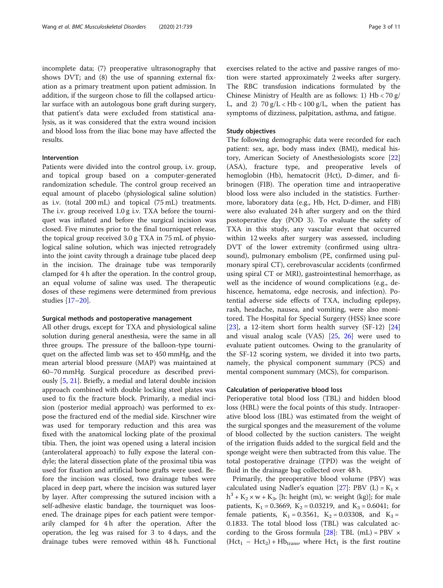incomplete data; (7) preoperative ultrasonography that shows DVT; and (8) the use of spanning external fixation as a primary treatment upon patient admission. In addition, if the surgeon chose to fill the collapsed articular surface with an autologous bone graft during surgery, that patient's data were excluded from statistical analysis, as it was considered that the extra wound incision and blood loss from the iliac bone may have affected the results.

#### Intervention

Patients were divided into the control group, i.v. group, and topical group based on a computer-generated randomization schedule. The control group received an equal amount of placebo (physiological saline solution) as i.v. (total 200 mL) and topical (75 mL) treatments. The i.v. group received 1.0 g i.v. TXA before the tourniquet was inflated and before the surgical incision was closed. Five minutes prior to the final tourniquet release, the topical group received 3.0 g TXA in 75 mL of physiological saline solution, which was injected retrogradely into the joint cavity through a drainage tube placed deep in the incision. The drainage tube was temporarily clamped for 4 h after the operation. In the control group, an equal volume of saline was used. The therapeutic doses of these regimens were determined from previous studies [\[17](#page-9-0)–[20\]](#page-9-0).

#### Surgical methods and postoperative management

All other drugs, except for TXA and physiological saline solution during general anesthesia, were the same in all three groups. The pressure of the balloon-type tourniquet on the affected limb was set to 450 mmHg, and the mean arterial blood pressure (MAP) was maintained at 60–70 mmHg. Surgical procedure as described previously [\[5](#page-9-0), [21](#page-9-0)]. Briefly, a medial and lateral double incision approach combined with double locking steel plates was used to fix the fracture block. Primarily, a medial incision (posterior medial approach) was performed to expose the fractured end of the medial side. Kirschner wire was used for temporary reduction and this area was fixed with the anatomical locking plate of the proximal tibia. Then, the joint was opened using a lateral incision (anterolateral approach) to fully expose the lateral condyle; the lateral dissection plate of the proximal tibia was used for fixation and artificial bone grafts were used. Before the incision was closed, two drainage tubes were placed in deep part, where the incision was sutured layer by layer. After compressing the sutured incision with a self-adhesive elastic bandage, the tourniquet was loosened. The drainage pipes for each patient were temporarily clamped for 4 h after the operation. After the operation, the leg was raised for 3 to 4 days, and the drainage tubes were removed within 48 h. Functional exercises related to the active and passive ranges of motion were started approximately 2 weeks after surgery. The RBC transfusion indications formulated by the Chinese Ministry of Health are as follows: 1)  $Hb < 70$  g/ L, and 2)  $70 g/L < Hb < 100 g/L$ , when the patient has symptoms of dizziness, palpitation, asthma, and fatigue.

#### Study objectives

The following demographic data were recorded for each patient: sex, age, body mass index (BMI), medical history, American Society of Anesthesiologists score [[22](#page-9-0)] (ASA), fracture type, and preoperative levels of hemoglobin (Hb), hematocrit (Hct), D-dimer, and fibrinogen (FIB). The operation time and intraoperative blood loss were also included in the statistics. Furthermore, laboratory data (e.g., Hb, Hct, D-dimer, and FIB) were also evaluated 24 h after surgery and on the third postoperative day (POD 3). To evaluate the safety of TXA in this study, any vascular event that occurred within 12 weeks after surgery was assessed, including DVT of the lower extremity (confirmed using ultrasound), pulmonary embolism (PE, confirmed using pulmonary spiral CT), cerebrovascular accidents (confirmed using spiral CT or MRI), gastrointestinal hemorrhage, as well as the incidence of wound complications (e.g., dehiscence, hematoma, edge necrosis, and infection). Potential adverse side effects of TXA, including epilepsy, rash, headache, nausea, and vomiting, were also monitored. The Hospital for Special Surgery (HSS) knee score [[23\]](#page-9-0), a 12-item short form health survey (SF-12) [[24](#page-9-0)] and visual analog scale (VAS) [\[25,](#page-9-0) [26](#page-9-0)] were used to evaluate patient outcomes. Owing to the granularity of the SF-12 scoring system, we divided it into two parts, namely, the physical component summary (PCS) and mental component summary (MCS), for comparison.

#### Calculation of perioperative blood loss

Perioperative total blood loss (TBL) and hidden blood loss (HBL) were the focal points of this study. Intraoperative blood loss (IBL) was estimated from the weight of the surgical sponges and the measurement of the volume of blood collected by the suction canisters. The weight of the irrigation fluids added to the surgical field and the sponge weight were then subtracted from this value. The total postoperative drainage (TPD) was the weight of fluid in the drainage bag collected over 48 h.

Primarily, the preoperative blood volume (PBV) was calculated using Nadler's equation [[27\]](#page-9-0): PBV (L) =  $K_1 \times$  $h^3 + K_2 \times w + K_3$ , [h: height (m), w: weight (kg)]; for male patients,  $K_1 = 0.3669$ ,  $K_2 = 0.03219$ , and  $K_3 = 0.6041$ ; for female patients,  $K_1 = 0.3561$ ,  $K_2 = 0.03308$ , and  $K_3 =$ 0.1833. The total blood loss (TBL) was calculated ac-cording to the Gross formula [[28](#page-9-0)]: TBL  $(mL) = PBV \times$  $(Hct<sub>1</sub> - Hct<sub>2</sub>) + Hb<sub>trans</sub>$ , where Hct<sub>1</sub> is the first routine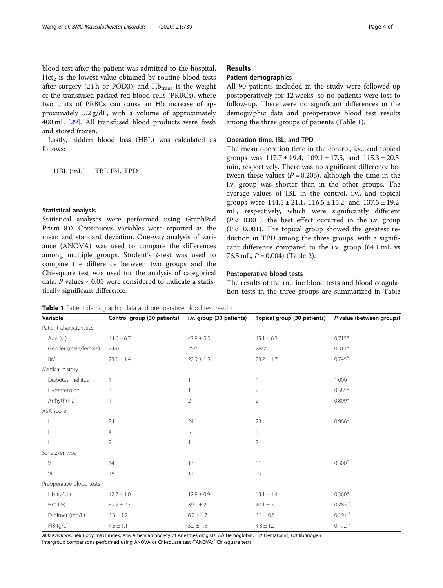blood test after the patient was admitted to the hospital,  $Hct<sub>2</sub>$  is the lowest value obtained by routine blood tests after surgery (24 h or POD3), and  $Hb_{trans}$  is the weight of the transfused packed red blood cells (PRBCs), where two units of PRBCs can cause an Hb increase of approximately 5.2 g/dL, with a volume of approximately 400 mL [[29\]](#page-9-0). All transfused blood products were fresh and stored frozen.

Lastly, hidden blood loss (HBL) was calculated as follows:

 $HBL$  (mL)  $=$  TBL-IBL-TPD

#### Statistical analysis

Statistical analyses were performed using GraphPad Prism 8.0. Continuous variables were reported as the mean and standard deviation. One-way analysis of variance (ANOVA) was used to compare the differences among multiple groups. Student's  $t$ -test was used to compare the difference between two groups and the Chi-square test was used for the analysis of categorical data. P values < 0.05 were considered to indicate a statistically significant difference.

#### Results

#### Patient demographics

All 90 patients included in the study were followed up postoperatively for 12 weeks, so no patients were lost to follow-up. There were no significant differences in the demographic data and preoperative blood test results among the three groups of patients (Table 1).

#### Operation time, IBL, and TPD

The mean operation time in the control, i.v., and topical groups was  $117.7 \pm 19.4$ ,  $109.1 \pm 17.5$ , and  $115.3 \pm 20.5$ min, respectively. There was no significant difference between these values ( $P = 0.206$ ), although the time in the i.v. group was shorter than in the other groups. The average values of IBL in the control, i.v., and topical groups were  $144.5 \pm 21.1$ ,  $116.5 \pm 15.2$ , and  $137.5 \pm 19.2$ mL, respectively, which were significantly different  $(P < 0.001)$ ; the best effect occurred in the i.v. group  $(P < 0.001)$ . The topical group showed the greatest reduction in TPD among the three groups, with a significant difference compared to the i.v. group (64.1 mL vs 76.5 mL,  $P = 0.004$ ) (Table [2](#page-4-0)).

#### Postoperative blood tests

The results of the routine blood tests and blood coagulation tests in the three groups are summarized in Table

| Variable                             | Control group (30 patients) | i.v. group (30 patients) | Topical group (30 patients) | P value (between groups) |  |
|--------------------------------------|-----------------------------|--------------------------|-----------------------------|--------------------------|--|
| Patient characteristics              |                             |                          |                             |                          |  |
| Age (yr)                             | $44.6 \pm 6.7$              | $43.8 \pm 5.5$           | $45.1 \pm 6.3$              | $0.715^a$                |  |
| Gender (male/female)                 | 24/6                        | 25/5                     | 28/2                        | 0.311 <sup>b</sup>       |  |
| BMI                                  | $23.1 \pm 1.4$              | $22.9 \pm 1.5$           | $23.2 \pm 1.7$              | $0.745^{\text{a}}$       |  |
| Medical history                      |                             |                          |                             |                          |  |
| Diabetes mellitus                    | $\mathbf{1}$                |                          | 1                           | 1.000 <sup>b</sup>       |  |
| Hypertension                         | 3                           |                          | $\overline{2}$              | 0.585 <sup>b</sup>       |  |
| Arrhythmia                           | $\mathbf{1}$                | $\overline{2}$           | $\overline{2}$              | 0.809 <sup>b</sup>       |  |
| ASA score                            |                             |                          |                             |                          |  |
|                                      | 24                          | 24                       | 23                          | $0.966^{\rm b}$          |  |
| Ш                                    | $\overline{4}$              | 5                        | 5                           |                          |  |
| $\left\vert \right\vert \right\vert$ | $\overline{2}$              |                          | $\overline{2}$              |                          |  |
| Schatzker type                       |                             |                          |                             |                          |  |
| $\vee$                               | 14                          | 17                       | 11                          | 0.300 <sup>b</sup>       |  |
| V <sub>l</sub>                       | 16                          | 13                       | 19                          |                          |  |
| Preoperative blood tests             |                             |                          |                             |                          |  |
| Hb (g/dL)                            | $12.7 \pm 1.0$              | $12.8 \pm 0.9$           | $13.1 \pm 1.4$              | $0.360^{\rm a}$          |  |
| Hct (%)                              | $39.2 \pm 2.7$              | $39.1 \pm 2.1$           | $40.1 \pm 3.1$              | $0.283$ <sup>a</sup>     |  |
| D-dimer (mg/L)                       | $6.3 \pm 1.2$               | $6.7 \pm 1.7$            | $6.1 \pm 0.8$               | $0.191$ <sup>a</sup>     |  |
| $FIB$ (g/L)                          | $4.6 \pm 1.1$               | $5.2 \pm 1.5$            | $4.8 \pm 1.2$               | $0.172$ <sup>a</sup>     |  |

Table 1 Patient demographic data and preoperative blood test results

Abbreviations: BMI Body mass index, ASA American Society of Anesthesiologists, Hb Hemoglobin, Hct Hematocrit, FIB fibrinogen Intergroup comparisons performed using ANOVA or Chi-square test (<sup>a</sup>ANOVA; <sup>b</sup>Chi-square test)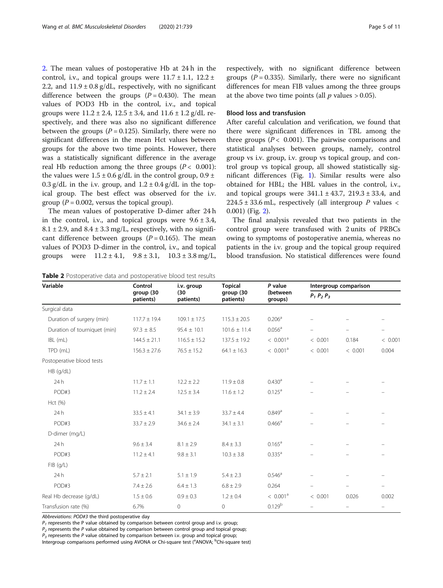<span id="page-4-0"></span>2. The mean values of postoperative Hb at 24 h in the control, i.v., and topical groups were  $11.7 \pm 1.1$ ,  $12.2 \pm$ 2.2, and  $11.9 \pm 0.8$  g/dL, respectively, with no significant difference between the groups  $(P = 0.430)$ . The mean values of POD3 Hb in the control, i.v., and topical groups were  $11.2 \pm 2.4$ ,  $12.5 \pm 3.4$ , and  $11.6 \pm 1.2$  g/dL respectively, and there was also no significant difference between the groups ( $P = 0.125$ ). Similarly, there were no significant differences in the mean Hct values between groups for the above two time points. However, there was a statistically significant difference in the average real Hb reduction among the three groups  $(P < 0.001)$ : the values were  $1.5 \pm 0.6$  g/dL in the control group,  $0.9 \pm$ 0.3 g/dL in the i.v. group, and  $1.2 \pm 0.4$  g/dL in the topical group. The best effect was observed for the i.v. group ( $P = 0.002$ , versus the topical group).

The mean values of postoperative D-dimer after 24 h in the control, i.v., and topical groups were  $9.6 \pm 3.4$ ,  $8.1 \pm 2.9$ , and  $8.4 \pm 3.3$  mg/L, respectively, with no significant difference between groups ( $P = 0.165$ ). The mean values of POD3 D-dimer in the control, i.v., and topical groups were  $11.2 \pm 4.1$ ,  $9.8 \pm 3.1$ ,  $10.3 \pm 3.8$  mg/L,

Table 2 Postoperative data and postoperative blood test results

respectively, with no significant difference between groups ( $P = 0.335$ ). Similarly, there were no significant differences for mean FIB values among the three groups at the above two time points (all  $p$  values  $> 0.05$ ).

#### Blood loss and transfusion

After careful calculation and verification, we found that there were significant differences in TBL among the three groups ( $P < 0.001$ ). The pairwise comparisons and statistical analyses between groups, namely, control group vs i.v. group, i.v. group vs topical group, and control group vs topical group, all showed statistically significant differences (Fig. [1](#page-5-0)). Similar results were also obtained for HBL; the HBL values in the control, i.v., and topical groups were  $341.1 \pm 43.7$ ,  $219.3 \pm 33.4$ , and  $224.5 \pm 33.6$  mL, respectively (all intergroup P values < 0.001) (Fig. [2](#page-6-0)).

The final analysis revealed that two patients in the control group were transfused with 2 units of PRBCs owing to symptoms of postoperative anemia, whereas no patients in the i.v. group and the topical group required blood transfusion. No statistical differences were found

| Variable                     | Control<br>group (30<br>patients) | i.v. group<br>(30)<br>patients) | <b>Topical</b><br>group (30<br>patients) | P value<br>(between<br>groups) | Intergroup comparison |                          |                   |  |
|------------------------------|-----------------------------------|---------------------------------|------------------------------------------|--------------------------------|-----------------------|--------------------------|-------------------|--|
|                              |                                   |                                 |                                          |                                | $P_1 P_2 P_3$         |                          |                   |  |
| Surgical data                |                                   |                                 |                                          |                                |                       |                          |                   |  |
| Duration of surgery (min)    | $117.7 \pm 19.4$                  | $109.1 \pm 17.5$                | $115.3 \pm 20.5$                         | 0.206 <sup>a</sup>             |                       |                          |                   |  |
| Duration of tourniquet (min) | $97.3 \pm 8.5$                    | $95.4 \pm 10.1$                 | $101.6 \pm 11.4$                         | 0.056 <sup>a</sup>             |                       |                          | $\qquad \qquad -$ |  |
| IBL (mL)                     | $144.5 \pm 21.1$                  | $116.5 \pm 15.2$                | $137.5 \pm 19.2$                         | < 0.001 <sup>a</sup>           | < 0.001               | 0.184                    | < 0.001           |  |
| TPD (mL)                     | $156.3 \pm 27.6$                  | $76.5 \pm 15.2$                 | $64.1 \pm 16.3$                          | < 0.001 <sup>a</sup>           | < 0.001               | < 0.001                  | 0.004             |  |
| Postoperative blood tests    |                                   |                                 |                                          |                                |                       |                          |                   |  |
| $HB$ (g/dL)                  |                                   |                                 |                                          |                                |                       |                          |                   |  |
| 24h                          | $11.7 \pm 1.1$                    | $12.2 \pm 2.2$                  | $11.9 \pm 0.8$                           | 0.430 <sup>a</sup>             |                       |                          |                   |  |
| POD#3                        | $11.2 \pm 2.4$                    | $12.5 \pm 3.4$                  | $11.6 \pm 1.2$                           | $0.125^a$                      |                       |                          |                   |  |
| Hct (%)                      |                                   |                                 |                                          |                                |                       |                          |                   |  |
| 24h                          | $33.5 \pm 4.1$                    | $34.1 \pm 3.9$                  | $33.7 \pm 4.4$                           | $0.849$ <sup>a</sup>           |                       |                          |                   |  |
| POD#3                        | $33.7 \pm 2.9$                    | $34.6 \pm 2.4$                  | $34.1 \pm 3.1$                           | $0.466^a$                      |                       |                          |                   |  |
| D-dimer (mg/L)               |                                   |                                 |                                          |                                |                       |                          |                   |  |
| 24h                          | $9.6 \pm 3.4$                     | $8.1 \pm 2.9$                   | $8.4 \pm 3.3$                            | $0.165^a$                      |                       |                          |                   |  |
| POD#3                        | $11.2 \pm 4.1$                    | $9.8 \pm 3.1$                   | $10.3 \pm 3.8$                           | $0.335^{\circ}$                |                       |                          |                   |  |
| FIB(q/L)                     |                                   |                                 |                                          |                                |                       |                          |                   |  |
| 24h                          | $5.7 \pm 2.1$                     | $5.1 \pm 1.9$                   | $5.4 \pm 2.3$                            | $0.546^{\circ}$                |                       |                          |                   |  |
| POD#3                        | $7.4 \pm 2.6$                     | $6.4 \pm 1.3$                   | $6.8 \pm 2.9$                            | 0.264                          |                       |                          |                   |  |
| Real Hb decrease (g/dL)      | $1.5 \pm 0.6$                     | $0.9 \pm 0.3$                   | $1.2 \pm 0.4$                            | < 0.001 <sup>a</sup>           | < 0.001               | 0.026                    | 0.002             |  |
| Transfusion rate (%)         | 6.7%                              | 0                               | $\circ$                                  | 0.129 <sup>b</sup>             |                       | $\overline{\phantom{m}}$ | $\qquad \qquad -$ |  |

Abbreviations: POD#3 the third postoperative day

 $P_1$  represents the P value obtained by comparison between control group and i.v. group;

 $P<sub>2</sub>$  represents the P value obtained by comparison between control group and topical group;

 $P_3$  represents the P value obtained by comparison between i.v. group and topical group;

Intergroup comparisons performed using AVONA or Chi-square test (<sup>a</sup>ANOVA; <sup>b</sup>Chi-square test)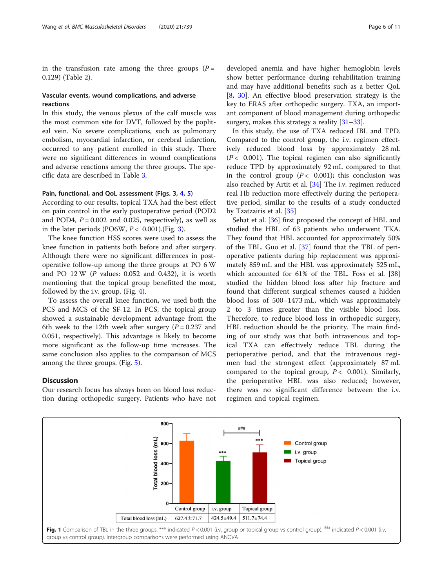<span id="page-5-0"></span>in the transfusion rate among the three groups  $(P =$ 0.129) (Table [2\)](#page-4-0).

#### Vascular events, wound complications, and adverse reactions

In this study, the venous plexus of the calf muscle was the most common site for DVT, followed by the popliteal vein. No severe complications, such as pulmonary embolism, myocardial infarction, or cerebral infarction, occurred to any patient enrolled in this study. There were no significant differences in wound complications and adverse reactions among the three groups. The specific data are described in Table [3](#page-6-0).

#### Pain, functional, and QoL assessment (Figs. [3](#page-7-0), [4,](#page-7-0) [5\)](#page-8-0)

According to our results, topical TXA had the best effect on pain control in the early postoperative period (POD2 and POD4,  $P = 0.002$  and 0.025, respectively), as well as in the later periods (PO6W,  $P < 0.001$ ).(Fig. [3](#page-7-0)).

The knee function HSS scores were used to assess the knee function in patients both before and after surgery. Although there were no significant differences in postoperative follow-up among the three groups at PO 6 W and PO  $12 \text{ W}$  (P values: 0.052 and 0.432), it is worth mentioning that the topical group benefitted the most, followed by the i.v. group. (Fig. [4\)](#page-7-0).

To assess the overall knee function, we used both the PCS and MCS of the SF-12. In PCS, the topical group showed a sustainable development advantage from the 6th week to the 12th week after surgery  $(P = 0.237$  and 0.051, respectively). This advantage is likely to become more significant as the follow-up time increases. The same conclusion also applies to the comparison of MCS among the three groups. (Fig. [5\)](#page-8-0).

#### **Discussion**

Our research focus has always been on blood loss reduction during orthopedic surgery. Patients who have not developed anemia and have higher hemoglobin levels show better performance during rehabilitation training and may have additional benefits such as a better QoL [[8,](#page-9-0) [30\]](#page-9-0). An effective blood preservation strategy is the key to ERAS after orthopedic surgery. TXA, an important component of blood management during orthopedic surgery, makes this strategy a reality  $[31-33]$  $[31-33]$  $[31-33]$ .

In this study, the use of TXA reduced IBL and TPD. Compared to the control group, the i.v. regimen effectively reduced blood loss by approximately 28 mL  $(P< 0.001)$ . The topical regimen can also significantly reduce TPD by approximately 92 mL compared to that in the control group  $(P < 0.001)$ ; this conclusion was also reached by Artit et al. [[34\]](#page-10-0) The i.v. regimen reduced real Hb reduction more effectively during the perioperative period, similar to the results of a study conducted by Tzatzairis et al. [[35](#page-10-0)]

Sehat et al. [[36\]](#page-10-0) first proposed the concept of HBL and studied the HBL of 63 patients who underwent TKA. They found that HBL accounted for approximately 50% of the TBL. Guo et al. [\[37](#page-10-0)] found that the TBL of perioperative patients during hip replacement was approximately 859 mL and the HBL was approximately 525 mL, which accounted for 61% of the TBL. Foss et al. [[38](#page-10-0)] studied the hidden blood loss after hip fracture and found that different surgical schemes caused a hidden blood loss of 500–1473 mL, which was approximately 2 to 3 times greater than the visible blood loss. Therefore, to reduce blood loss in orthopedic surgery, HBL reduction should be the priority. The main finding of our study was that both intravenous and topical TXA can effectively reduce TBL during the perioperative period, and that the intravenous regimen had the strongest effect (approximately 87 mL compared to the topical group,  $P < 0.001$ ). Similarly, the perioperative HBL was also reduced; however, there was no significant difference between the i.v. regimen and topical regimen.

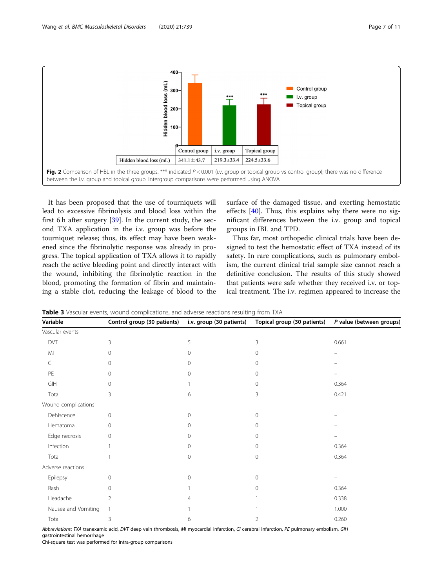<span id="page-6-0"></span>

It has been proposed that the use of tourniquets will lead to excessive fibrinolysis and blood loss within the first 6 h after surgery [\[39](#page-10-0)]. In the current study, the second TXA application in the i.v. group was before the tourniquet release; thus, its effect may have been weakened since the fibrinolytic response was already in progress. The topical application of TXA allows it to rapidly reach the active bleeding point and directly interact with the wound, inhibiting the fibrinolytic reaction in the blood, promoting the formation of fibrin and maintaining a stable clot, reducing the leakage of blood to the surface of the damaged tissue, and exerting hemostatic effects [[40\]](#page-10-0). Thus, this explains why there were no significant differences between the i.v. group and topical groups in IBL and TPD.

Thus far, most orthopedic clinical trials have been designed to test the hemostatic effect of TXA instead of its safety. In rare complications, such as pulmonary embolism, the current clinical trial sample size cannot reach a definitive conclusion. The results of this study showed that patients were safe whether they received i.v. or topical treatment. The i.v. regimen appeared to increase the

| Variable            | Control group (30 patients) | i.v. group (30 patients) | Topical group (30 patients) | P value (between groups) |  |
|---------------------|-----------------------------|--------------------------|-----------------------------|--------------------------|--|
| Vascular events     |                             |                          |                             |                          |  |
| $\textsf{DVT}$      | 3                           | 5                        | 3                           | 0.661                    |  |
| MI                  | $\mathsf{O}\xspace$         | $\circ$                  | $\Omega$                    |                          |  |
| CI                  | $\mathsf{O}\xspace$         | $\Omega$                 | $\Omega$                    |                          |  |
| PE                  | $\mathsf{O}\xspace$         | $\circ$                  | $\mathsf{O}\xspace$         |                          |  |
| GIH                 | $\mathsf{O}\xspace$         |                          | $\circ$                     | 0.364                    |  |
| Total               | 3                           | 6                        | 3                           | 0.421                    |  |
| Wound complications |                             |                          |                             |                          |  |
| Dehiscence          | $\mathsf{O}\xspace$         | $\mathbf{0}$             | $\circ$                     |                          |  |
| Hematoma            | $\mathsf{O}\xspace$         | 0                        | $\circ$                     |                          |  |
| Edge necrosis       | 0                           | $\circ$                  | $\Omega$                    |                          |  |
| Infection           |                             | $\Omega$                 | $\Omega$                    | 0.364                    |  |
| Total               |                             | $\mathbf{0}$             | $\Omega$                    | 0.364                    |  |
| Adverse reactions   |                             |                          |                             |                          |  |
| Epilepsy            | $\circ$                     | $\mathbf{0}$             | $\circ$                     |                          |  |
| Rash                | 0                           |                          | $\circ$                     | 0.364                    |  |
| Headache            | $\overline{2}$              | 4                        |                             | 0.338                    |  |
| Nausea and Vomiting | $\mathbb{1}$                |                          |                             | 1.000                    |  |
| Total               | 3                           | 6                        | 2                           | 0.260                    |  |

Table 3 Vascular events, wound complications, and adverse reactions resulting from TXA

Abbreviations: TXA tranexamic acid, DVT deep vein thrombosis, MI myocardial infarction, CI cerebral infarction, PE pulmonary embolism, GIH gastrointestinal hemorrhage

Chi-square test was performed for intra-group comparisons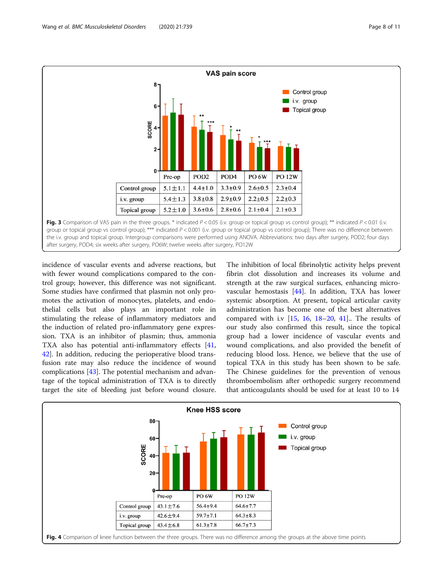<span id="page-7-0"></span>

incidence of vascular events and adverse reactions, but with fewer wound complications compared to the control group; however, this difference was not significant. Some studies have confirmed that plasmin not only promotes the activation of monocytes, platelets, and endothelial cells but also plays an important role in stimulating the release of inflammatory mediators and the induction of related pro-inflammatory gene expression. TXA is an inhibitor of plasmin; thus, ammonia TXA also has potential anti-inflammatory effects [[41](#page-10-0), [42\]](#page-10-0). In addition, reducing the perioperative blood transfusion rate may also reduce the incidence of wound complications [[43](#page-10-0)]. The potential mechanism and advantage of the topical administration of TXA is to directly target the site of bleeding just before wound closure. The inhibition of local fibrinolytic activity helps prevent fibrin clot dissolution and increases its volume and strength at the raw surgical surfaces, enhancing microvascular hemostasis [\[44\]](#page-10-0). In addition, TXA has lower systemic absorption. At present, topical articular cavity administration has become one of the best alternatives compared with i.v  $[15, 16, 18-20, 41]$  $[15, 16, 18-20, 41]$  $[15, 16, 18-20, 41]$  $[15, 16, 18-20, 41]$  $[15, 16, 18-20, 41]$  $[15, 16, 18-20, 41]$  $[15, 16, 18-20, 41]$  $[15, 16, 18-20, 41]$  $[15, 16, 18-20, 41]$  $[15, 16, 18-20, 41]$ . The results of our study also confirmed this result, since the topical group had a lower incidence of vascular events and wound complications, and also provided the benefit of reducing blood loss. Hence, we believe that the use of topical TXA in this study has been shown to be safe. The Chinese guidelines for the prevention of venous thromboembolism after orthopedic surgery recommend that anticoagulants should be used for at least 10 to 14

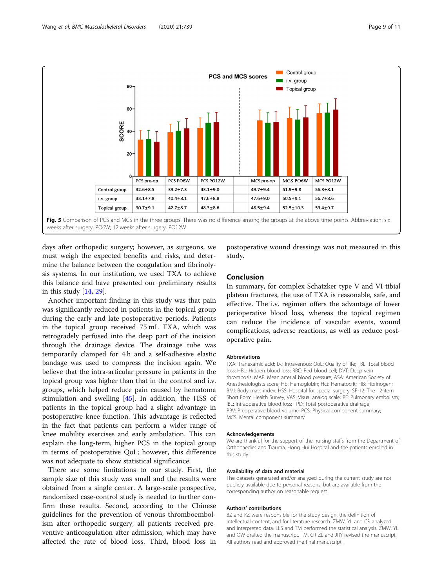<span id="page-8-0"></span>

days after orthopedic surgery; however, as surgeons, we must weigh the expected benefits and risks, and determine the balance between the coagulation and fibrinolysis systems. In our institution, we used TXA to achieve this balance and have presented our preliminary results in this study [\[14](#page-9-0), [29](#page-9-0)].

Another important finding in this study was that pain was significantly reduced in patients in the topical group during the early and late postoperative periods. Patients in the topical group received 75 mL TXA, which was retrogradely perfused into the deep part of the incision through the drainage device. The drainage tube was temporarily clamped for 4 h and a self-adhesive elastic bandage was used to compress the incision again. We believe that the intra-articular pressure in patients in the topical group was higher than that in the control and i.v. groups, which helped reduce pain caused by hematoma stimulation and swelling [\[45](#page-10-0)]. In addition, the HSS of patients in the topical group had a slight advantage in postoperative knee function. This advantage is reflected in the fact that patients can perform a wider range of knee mobility exercises and early ambulation. This can explain the long-term, higher PCS in the topical group in terms of postoperative QoL; however, this difference was not adequate to show statistical significance.

There are some limitations to our study. First, the sample size of this study was small and the results were obtained from a single center. A large-scale prospective, randomized case-control study is needed to further confirm these results. Second, according to the Chinese guidelines for the prevention of venous thromboembolism after orthopedic surgery, all patients received preventive anticoagulation after admission, which may have affected the rate of blood loss. Third, blood loss in

postoperative wound dressings was not measured in this study.

#### Conclusion

In summary, for complex Schatzker type V and VI tibial plateau fractures, the use of TXA is reasonable, safe, and effective. The i.v. regimen offers the advantage of lower perioperative blood loss, whereas the topical regimen can reduce the incidence of vascular events, wound complications, adverse reactions, as well as reduce postoperative pain.

#### Abbreviations

TXA: Tranexamic acid; i.v.: Intravenous; QoL: Quality of life; TBL: Total blood loss; HBL: Hidden blood loss; RBC: Red blood cell; DVT: Deep vein thrombosis; MAP: Mean arterial blood pressure; ASA: American Society of Anesthesiologists score; Hb: Hemoglobin; Hct: Hematocrit; FIB: Fibrinogen; BMI: Body mass index; HSS: Hospital for special surgery; SF-12: The 12-item Short Form Health Survey; VAS: Visual analog scale; PE: Pulmonary embolism; IBL: Intraoperative blood loss; TPD: Total postoperative drainage; PBV: Preoperative blood volume; PCS: Physical component summary; MCS: Mental component summary

#### Acknowledgements

We are thankful for the support of the nursing staffs from the Department of Orthopaedics and Trauma, Hong Hui Hospital and the patients enrolled in this study.

#### Availability of data and material

The datasets generated and/or analyzed during the current study are not publicly available due to personal reasons, but are available from the corresponding author on reasonable request.

#### Authors' contributions

BZ and KZ were responsible for the study design, the definition of intellectual content, and for literature research. ZMW, YL and CR analyzed and interpreted data. LLS and TM performed the statistical analysis. ZMW, YL and QW drafted the manuscript. TM, CR ZL and JRY revised the manuscript. All authors read and approved the final manuscript.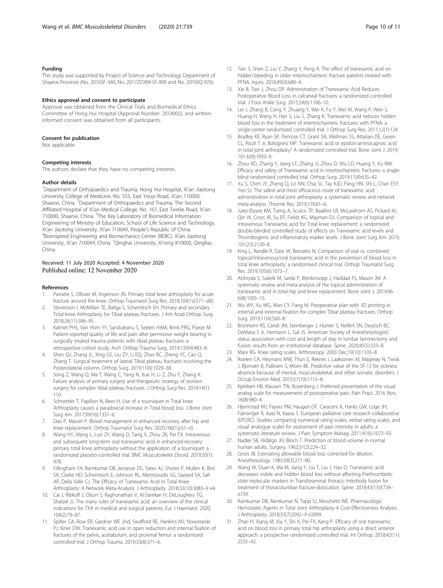#### <span id="page-9-0"></span>Funding

This study was supported by Project of Science and Technology Department of Shaanxi Province (No. 2016SF-340, No. 2017ZDXM-SF-009 and No. 2019JQ-976).

#### Ethics approval and consent to participate

Approval was obtained from the Clinical Trials and Biomedical Ethics Committee of Hong Hui Hospital (Approval Number: 2018002), and written informed consent was obtained from all participants.

#### Consent for publication

Not applicable.

#### Competing interests

The authors declare that they have no competing interests.

#### Author details

<sup>1</sup>Department of Orthopaedics and Trauma, Hong Hui Hospital, Xi'an Jiaotong University College of Medicine, No. 555, East Youyi Road, Xi'an 710000, Shaanxi, China. <sup>2</sup>Department of Orthopaedics and Trauma, The Second Affiliated Hospital of Xi'an Medical College, No. 167, East Textile Road, Xi'an 710000, Shaanxi, China. <sup>3</sup>The Key Laboratory of Biomedical Information Engineering of Ministry of Education, School of Life Science and Technology, Xi'an Jiaotong University, Xi'an 710049, People's Republic of China. <sup>4</sup> <sup>4</sup>Bioinspired Engineering and Biomechanics Center (BEBC), Xi'an Jiaotong University, Xi'an 710049, China. <sup>5</sup>Qinghai University, Xi'ning 810000, Qinghai, China.

#### Received: 11 July 2020 Accepted: 4 November 2020 Published online: 12 November 2020

#### References

- 1. Parratte S, Ollivier M, Argenson JN. Primary total knee arthroplasty for acute fracture around the knee. Orthop Traumatol Surg Res. 2018;104(1s):S71–s80.
- 2. Stevenson I, McMillan TE, Baliga S, Schemitsch EH. Primary and secondary Total knee Arthroplasty for Tibial plateau fractures. J Am Acad Orthop Surg. 2018;26(11):386–95.
- 3. Kalmet PHS, Van Horn YY, Sanduleanu S, Seelen HAM, Brink PRG, Poeze M. Patient-reported quality of life and pain after permissive weight bearing in surgically treated trauma patients with tibial plateau fractures: a retrospective cohort study. Arch Orthop Trauma Surg. 2019;139(4):483–8.
- 4. Shen QJ, Zhang JL, Xing GS, Liu ZY, Li EQ, Zhao BC, Zheng YC, Cao Q, Zhang T. Surgical treatment of lateral Tibial plateau fractures involving the Posterolateral column. Orthop Surg. 2019;11(6):1029–38.
- 5. Song Z, Wang Q, Ma T, Wang C, Yang N, Xue H, Li Z, Zhu Y, Zhang K. Failure analysis of primary surgery and therapeutic strategy of revision surgery for complex tibial plateau fractures. J Orthop Surg Res. 2019;14(1): 110.
- 6. Schnettler T, Papillon N, Rees H. Use of a tourniquet in Total knee Arthroplasty causes a paradoxical increase in Total blood loss. J Bone Joint Surg Am. 2017;99(16):1331–6.
- 7. Dao P, Massin P. Blood management in enhanced recovery after hip and knee replacement. Orthop Traumatol Surg Res. 2020;106(1s):S1–s5.
- 8. Wang HY, Wang L, Luo ZY, Wang D, Tang X, Zhou ZK, Pei FX. Intravenous and subsequent long-term oral tranexamic acid in enhanced-recovery primary total knee arthroplasty without the application of a tourniquet: a randomized placebo-controlled trial. BMC Musculoskelet Disord. 2019;20(1): 478.
- 9. Fillingham YA, Ramkumar DB, Jevsevar DS, Yates AJ, Shores P, Mullen K, Bini SA, Clarke HD, Schemitsch E, Johnson RL, Memtsoudis SG, Sayeed SA, Sah AP, Della Valle CJ. The Efficacy of Tranexamic Acid in Total Knee Arthroplasty: A Network Meta-Analysis. J Arthroplasty. 2018;33(10):3083–9 e4.
- 10. Cai J, Ribkoff J, Olson S, Raghunathan V, Al-Samkari H, DeLoughery TG, Shatzel JJ. The many roles of tranexamic acid: an overview of the clinical indications for TXA in medical and surgical patients. Eur J Haematol. 2020; 104(2):79–87.
- 11. Spitler CA, Row ER, Gardner WE 2nd, Swafford RE, Hankins MJ, Nowotarski PJ, Kiner DW. Tranexamic acid use in open reduction and internal fixation of fractures of the pelvis, acetabulum, and proximal femur: a randomized controlled trial. J Orthop Trauma. 2019;33(8):371–6.
- 12. Tian S, Shen Z, Liu Y, Zhang Y, Peng A. The effect of tranexamic acid on hidden bleeding in older intertrochanteric fracture patients treated with PFNA. Injury. 2018;49(3):680–4.
- 13. Xie B, Tian J, Zhou DP. Administration of Tranexamic Acid Reduces Postoperative Blood Loss in calcaneal fractures: a randomized controlled trial. J Foot Ankle Surg. 2015;54(6):1106–10.
- 14. Lei J, Zhang B, Cong Y, Zhuang Y, Wei X, Fu Y, Wei W, Wang P, Wen S, Huang H, Wang H, Han S, Liu S, Zhang K. Tranexamic acid reduces hidden blood loss in the treatment of intertrochanteric fractures with PFNA: a single-center randomized controlled trial. J Orthop Surg Res. 2017;12(1):124.
- 15. Bradley KE, Ryan SP, Penrose CT, Grant SA, Wellman SS, Attarian DE, Green CL, Risoli T Jr, Bolognesi MP. Tranexamic acid or epsilon-aminocaproic acid in total joint arthroplasty? A randomized controlled trial. Bone Joint J. 2019; 101-b(9):1093–9.
- 16. Zhou XD, Zhang Y, Jiang LF, Zhang JJ, Zhou D, Wu LD, Huang Y, Xu NW. Efficacy and safety of Tranexamic acid in intertrochanteric fractures: a singleblind randomized controlled trial. Orthop Surg. 2019;11(4):635–42.
- 17. Xu S, Chen JY, Zheng Q, Lo NN, Chia SL, Tay KJD, Pang HN, Shi L, Chan ESY, Yeo SJ. The safest and most efficacious route of tranexamic acid administration in total joint arthroplasty: a systematic review and network meta-analysis. Thromb Res. 2019;176:61–6.
- 18. Jules-Elysee KM, Tseng A, Sculco TP, Baaklini LR, McLawhorn AS, Pickard AJ, Qin W, Cross JR, Su EP, Fields KG, Mayman DJ. Comparison of topical and intravenous Tranexamic acid for Total knee replacement: a randomized double-blinded controlled study of effects on Tranexamic acid levels and Thrombogenic and inflammatory marker levels. J Bone Joint Surg Am. 2019; 101(23):2120–8.
- 19. King L, Randle R, Dare W, Bernaitis N. Comparison of oral vs. combined topical/intravenous/oral tranexamic acid in the prevention of blood loss in total knee arthroplasty: a randomised clinical trial. Orthop Traumatol Surg Res. 2019;105(6):1073–7.
- 20. Alshryda S, Sukeik M, Sarda P, Blenkinsopp J, Haddad FS, Mason JM. A systematic review and meta-analysis of the topical administration of tranexamic acid in total hip and knee replacement. Bone Joint J. 2014;96 b(8):1005–15.
- 21. Wu WY, Xu WG, Wan CY, Fang M. Preoperative plan with 3D printing in internal and external fixation for complex Tibial plateau fractures. Orthop Surg. 2019;11(4):560–8.
- 22. Bronheim RS, Caridi JM, Steinberger J, Hunter S, Neifert SN, Deutsch BC, DeMaria S Jr, Hermann L, Gal JS. American Society of Anesthesiologists' status association with cost and length of stay in lumbar laminectomy and fusion: results from an institutional database. Spine. 2020;45(5):333–8.
- 23. Marx RG. Knee rating scales. Arthroscopy. 2003 Dec;19(10):1103–8.
- 24. Roelen CA, Heymans MW, Thun E, Reknes I, Laaksonen M, Magerøy N, Twisk J, Bjorvatn B, Pallesen S, Moen BE. Predictive value of the SF-12 for sickness absence because of mental, musculoskeletal, and other somatic disorders. J Occup Environ Med. 2015;57(10):1113–8.
- 25. Kjeldsen HB, Klausen TW, Rosenberg J. Preferred presentation of the visual analog scale for measurement of postoperative pain. Pain Pract. 2016 Nov; 16(8):980–4.
- 26. Hjermstad MJ, Fayers PM, Haugen DF, Caraceni A, Hanks GW, Loge JH, Fainsinger R, Aass N, Kaasa S. European palliative care research collaborative (EPCRC). Studies comparing numerical rating scales, verbal rating scales, and visual analogue scales for assessment of pain intensity in adults: a systematic literature review. J Pain Symptom Manag. 2011;41(6):1073–93.
- 27. Nadler SB, Hidalgo JH, Bloch T. Prediction of blood volume in normal human adults. Surgery. 1962;51(2):224–32.
- 28. Gross JB. Estimating allowable blood loss: corrected for dilution. Anesthesiology. 1983;58(3):277–80.
- 29. Wang W, Duan K, Ma M, Jiang Y, Liu T, Liu J, Hao D. Tranexamic acid decreases visible and hidden blood loss without affecting Prethrombotic state molecular markers in Transforaminal thoracic Interbody fusion for treatment of thoracolumbar fracture-dislocation. Spine. 2018;43(13):E734– e739.
- 30. Ramkumar DB, Ramkumar N, Tapp SJ, Moschetti WE. Pharmacologic Hemostatic Agents in Total Joint Arthroplasty-A Cost-Effectiveness Analysis. J Arthroplasty. 2018;33(7):2092–9 e2099.
- 31. Zhao H, Xiang M, Xia Y, Shi X, Pei FX, Kang P. Efficacy of oral tranexamic acid on blood loss in primary total hip arthroplasty using a direct anterior approach: a prospective randomized controlled trial. Int Orthop. 2018;42(11): 2535–42.